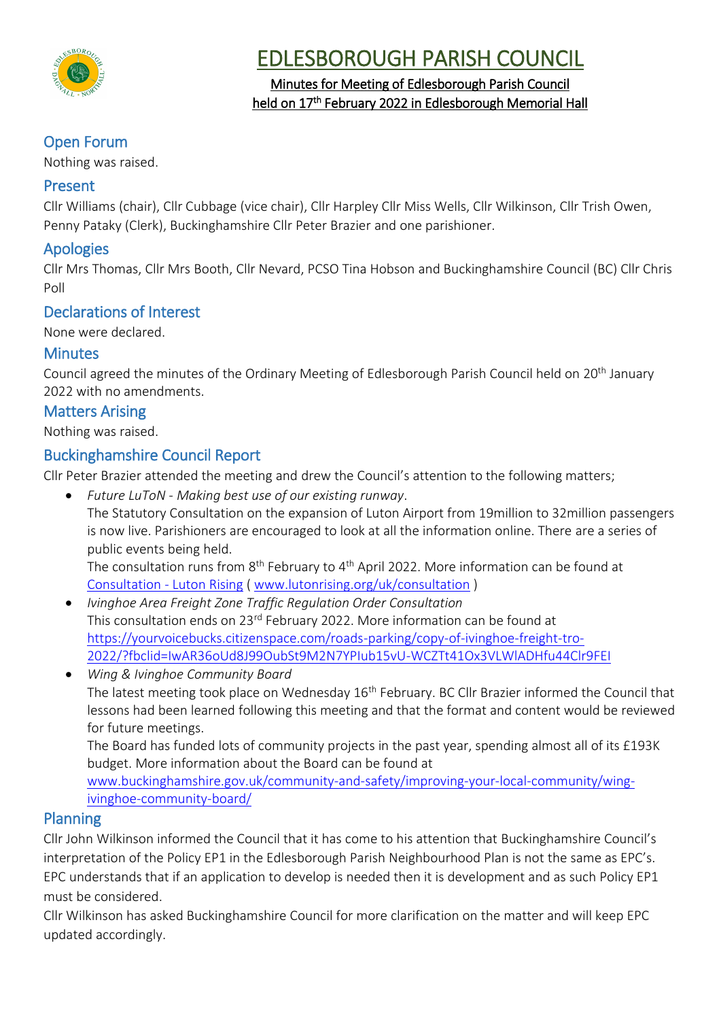

# EDLESBOROUGH PARISH COUNCIL

## Minutes for Meeting of Edlesborough Parish Council held on 17<sup>th</sup> February 2022 in Edlesborough Memorial Hall

# Open Forum

Nothing was raised.

# Present

Cllr Williams (chair), Cllr Cubbage (vice chair), Cllr Harpley Cllr Miss Wells, Cllr Wilkinson, Cllr Trish Owen, Penny Pataky (Clerk), Buckinghamshire Cllr Peter Brazier and one parishioner.

# Apologies

Cllr Mrs Thomas, Cllr Mrs Booth, Cllr Nevard, PCSO Tina Hobson and Buckinghamshire Council (BC) Cllr Chris Poll

# Declarations of Interest

None were declared.

# **Minutes**

Council agreed the minutes of the Ordinary Meeting of Edlesborough Parish Council held on 20<sup>th</sup> January 2022 with no amendments.

# Matters Arising

Nothing was raised.

# Buckinghamshire Council Report

Cllr Peter Brazier attended the meeting and drew the Council's attention to the following matters;

- *Future LuToN - Making best use of our existing runway*. The Statutory Consultation on the expansion of Luton Airport from 19million to 32million passengers is now live. Parishioners are encouraged to look at all the information online. There are a series of public events being held. The consultation runs from 8<sup>th</sup> February to 4<sup>th</sup> April 2022. More information can be found at [Consultation -](https://lutonrising.org.uk/consultation/) Luton Rising ( [www.lutonrising.org/uk/consultation](http://www.lutonrising.org/uk/consultation) )
- *Ivinghoe Area Freight Zone Traffic Regulation Order Consultation*  This consultation ends on 23rd February 2022. More information can be found at [https://yourvoicebucks.citizenspace.com/roads-parking/copy-of-ivinghoe-freight-tro-](https://yourvoicebucks.citizenspace.com/roads-parking/copy-of-ivinghoe-freight-tro-2022/?fbclid=IwAR36oUd8J99OubSt9M2N7YPIub15vU-WCZTt41Ox3VLWlADHfu44Clr9FEI)[2022/?fbclid=IwAR36oUd8J99OubSt9M2N7YPIub15vU-WCZTt41Ox3VLWlADHfu44Clr9FEI](https://yourvoicebucks.citizenspace.com/roads-parking/copy-of-ivinghoe-freight-tro-2022/?fbclid=IwAR36oUd8J99OubSt9M2N7YPIub15vU-WCZTt41Ox3VLWlADHfu44Clr9FEI)
- *Wing & Ivinghoe Community Board* The latest meeting took place on Wednesday 16<sup>th</sup> February. BC Cllr Brazier informed the Council that lessons had been learned following this meeting and that the format and content would be reviewed for future meetings.

The Board has funded lots of community projects in the past year, spending almost all of its £193K budget. More information about the Board can be found at

[www.buckinghamshire.gov.uk/community-and-safety/improving-your-local-community/wing](http://www.buckinghamshire.gov.uk/community-and-safety/improving-your-local-community/wing-ivinghoe-community-board/)[ivinghoe-community-board/](http://www.buckinghamshire.gov.uk/community-and-safety/improving-your-local-community/wing-ivinghoe-community-board/)

# Planning

Cllr John Wilkinson informed the Council that it has come to his attention that Buckinghamshire Council's interpretation of the Policy EP1 in the Edlesborough Parish Neighbourhood Plan is not the same as EPC's. EPC understands that if an application to develop is needed then it is development and as such Policy EP1 must be considered.

Cllr Wilkinson has asked Buckinghamshire Council for more clarification on the matter and will keep EPC updated accordingly.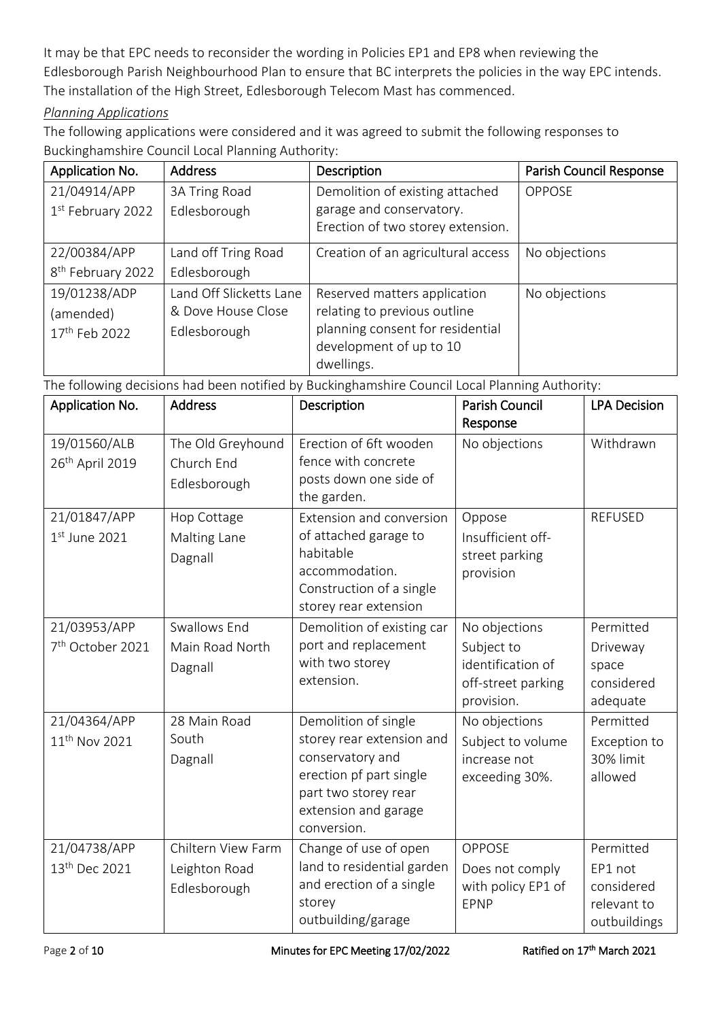It may be that EPC needs to reconsider the wording in Policies EP1 and EP8 when reviewing the Edlesborough Parish Neighbourhood Plan to ensure that BC interprets the policies in the way EPC intends. The installation of the High Street, Edlesborough Telecom Mast has commenced.

### *Planning Applications*

The following applications were considered and it was agreed to submit the following responses to Buckinghamshire Council Local Planning Authority:

| Application No.               | <b>Address</b>          | Description                        | <b>Parish Council Response</b> |
|-------------------------------|-------------------------|------------------------------------|--------------------------------|
| 21/04914/APP                  | 3A Tring Road           | Demolition of existing attached    | <b>OPPOSE</b>                  |
| 1st February 2022             | Edlesborough            | garage and conservatory.           |                                |
|                               |                         | Erection of two storey extension.  |                                |
| 22/00384/APP                  | Land off Tring Road     | Creation of an agricultural access | No objections                  |
| 8 <sup>th</sup> February 2022 | Edlesborough            |                                    |                                |
| 19/01238/ADP                  | Land Off Slicketts Lane | Reserved matters application       | No objections                  |
| (amended)                     | & Dove House Close      | relating to previous outline       |                                |
| 17 <sup>th</sup> Feb 2022     | Edlesborough            | planning consent for residential   |                                |
|                               |                         | development of up to 10            |                                |
|                               |                         | dwellings.                         |                                |

The following decisions had been notified by Buckinghamshire Council Local Planning Authority:

| Application No.                              | <b>Address</b>                                      | Description                                                                                                                                                     | <b>Parish Council</b><br>Response                                                    | <b>LPA Decision</b>                                               |
|----------------------------------------------|-----------------------------------------------------|-----------------------------------------------------------------------------------------------------------------------------------------------------------------|--------------------------------------------------------------------------------------|-------------------------------------------------------------------|
| 19/01560/ALB<br>26 <sup>th</sup> April 2019  | The Old Greyhound<br>Church End<br>Edlesborough     | Erection of 6ft wooden<br>fence with concrete<br>posts down one side of<br>the garden.                                                                          | No objections                                                                        | Withdrawn                                                         |
| 21/01847/APP<br>$1st$ June 2021              | Hop Cottage<br>Malting Lane<br>Dagnall              | Extension and conversion<br>of attached garage to<br>habitable<br>accommodation.<br>Construction of a single<br>storey rear extension                           | Oppose<br>Insufficient off-<br>street parking<br>provision                           | <b>REFUSED</b>                                                    |
| 21/03953/APP<br>7 <sup>th</sup> October 2021 | Swallows End<br>Main Road North<br>Dagnall          | Demolition of existing car<br>port and replacement<br>with two storey<br>extension.                                                                             | No objections<br>Subject to<br>identification of<br>off-street parking<br>provision. | Permitted<br>Driveway<br>space<br>considered<br>adequate          |
| 21/04364/APP<br>11 <sup>th</sup> Nov 2021    | 28 Main Road<br>South<br>Dagnall                    | Demolition of single<br>storey rear extension and<br>conservatory and<br>erection pf part single<br>part two storey rear<br>extension and garage<br>conversion. | No objections<br>Subject to volume<br>increase not<br>exceeding 30%.                 | Permitted<br>Exception to<br>30% limit<br>allowed                 |
| 21/04738/APP<br>13 <sup>th</sup> Dec 2021    | Chiltern View Farm<br>Leighton Road<br>Edlesborough | Change of use of open<br>land to residential garden<br>and erection of a single<br>storey<br>outbuilding/garage                                                 | <b>OPPOSE</b><br>Does not comply<br>with policy EP1 of<br>EPNP                       | Permitted<br>EP1 not<br>considered<br>relevant to<br>outbuildings |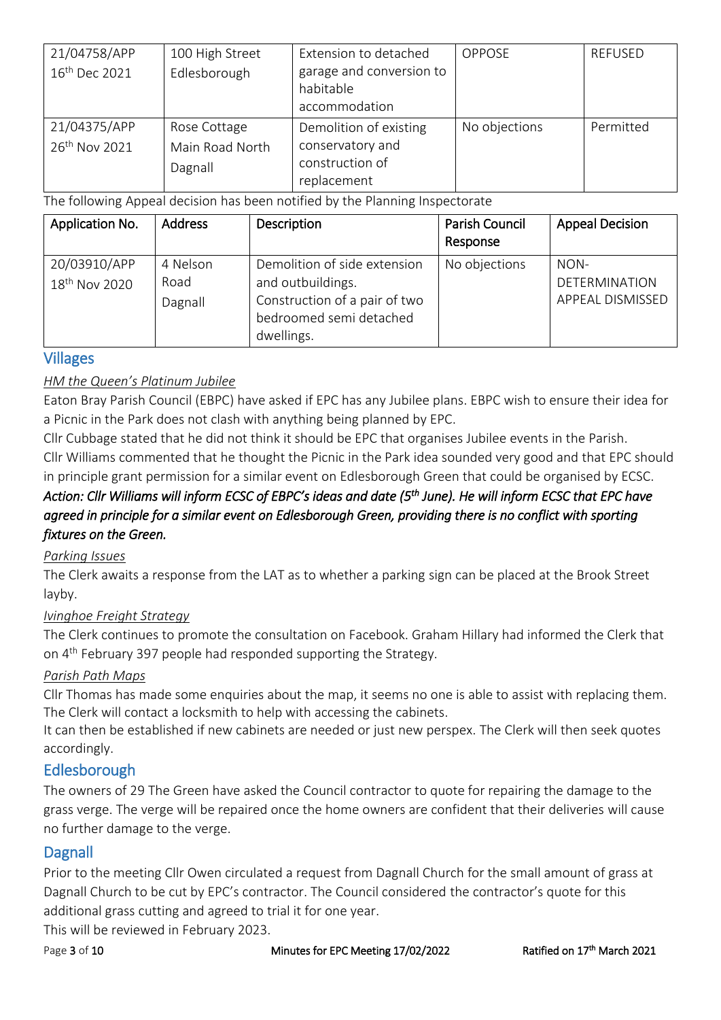| 21/04758/APP              | 100 High Street | Extension to detached                 | <b>OPPOSE</b> | <b>REFUSED</b> |
|---------------------------|-----------------|---------------------------------------|---------------|----------------|
| 16 <sup>th</sup> Dec 2021 | Edlesborough    | garage and conversion to<br>habitable |               |                |
|                           |                 | accommodation                         |               |                |
| 21/04375/APP              | Rose Cottage    | Demolition of existing                | No objections | Permitted      |
| 26 <sup>th</sup> Nov 2021 | Main Road North | conservatory and                      |               |                |
|                           | Dagnall         | construction of                       |               |                |
|                           |                 | replacement                           |               |                |

The following Appeal decision has been notified by the Planning Inspectorate

| Application No.                           | <b>Address</b>              | Description                                                                                                                 | Parish Council<br>Response | <b>Appeal Decision</b>                           |
|-------------------------------------------|-----------------------------|-----------------------------------------------------------------------------------------------------------------------------|----------------------------|--------------------------------------------------|
| 20/03910/APP<br>18 <sup>th</sup> Nov 2020 | 4 Nelson<br>Road<br>Dagnall | Demolition of side extension<br>and outbuildings.<br>Construction of a pair of two<br>bedroomed semi detached<br>dwellings. | No objections              | NON-<br>DETERMINATION<br><b>APPEAL DISMISSED</b> |

### Villages

### *HM the Queen's Platinum Jubilee*

Eaton Bray Parish Council (EBPC) have asked if EPC has any Jubilee plans. EBPC wish to ensure their idea for a Picnic in the Park does not clash with anything being planned by EPC.

Cllr Cubbage stated that he did not think it should be EPC that organises Jubilee events in the Parish. Cllr Williams commented that he thought the Picnic in the Park idea sounded very good and that EPC should in principle grant permission for a similar event on Edlesborough Green that could be organised by ECSC.

## *Action: Cllr Williams will inform ECSC of EBPC's ideas and date (5th June). He will inform ECSC that EPC have*  agreed in principle for a similar event on Edlesborough Green, providing there is no conflict with sporting *fixtures on the Green.*

### *Parking Issues*

The Clerk awaits a response from the LAT as to whether a parking sign can be placed at the Brook Street layby.

### *Ivinghoe Freight Strategy*

The Clerk continues to promote the consultation on Facebook. Graham Hillary had informed the Clerk that on 4<sup>th</sup> February 397 people had responded supporting the Strategy.

### *Parish Path Maps*

Cllr Thomas has made some enquiries about the map, it seems no one is able to assist with replacing them. The Clerk will contact a locksmith to help with accessing the cabinets.

It can then be established if new cabinets are needed or just new perspex. The Clerk will then seek quotes accordingly.

# Edlesborough

The owners of 29 The Green have asked the Council contractor to quote for repairing the damage to the grass verge. The verge will be repaired once the home owners are confident that their deliveries will cause no further damage to the verge.

### **Dagnall**

Prior to the meeting Cllr Owen circulated a request from Dagnall Church for the small amount of grass at Dagnall Church to be cut by EPC's contractor. The Council considered the contractor's quote for this additional grass cutting and agreed to trial it for one year.

This will be reviewed in February 2023.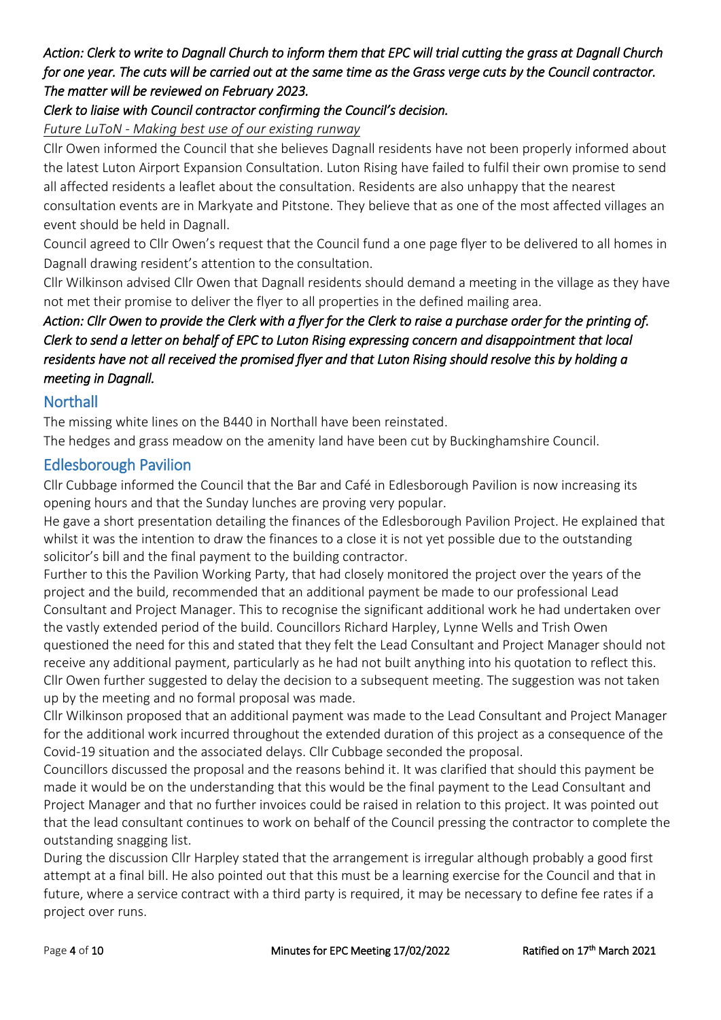## *Action: Clerk to write to Dagnall Church to inform them that EPC will trial cutting the grass at Dagnall Church for one year. The cuts will be carried out at the same time as the Grass verge cuts by the Council contractor. The matter will be reviewed on February 2023.*

### *Clerk to liaise with Council contractor confirming the Council's decision.*

*Future LuToN - Making best use of our existing runway*

Cllr Owen informed the Council that she believes Dagnall residents have not been properly informed about the latest Luton Airport Expansion Consultation. Luton Rising have failed to fulfil their own promise to send all affected residents a leaflet about the consultation. Residents are also unhappy that the nearest consultation events are in Markyate and Pitstone. They believe that as one of the most affected villages an event should be held in Dagnall.

Council agreed to Cllr Owen's request that the Council fund a one page flyer to be delivered to all homes in Dagnall drawing resident's attention to the consultation.

Cllr Wilkinson advised Cllr Owen that Dagnall residents should demand a meeting in the village as they have not met their promise to deliver the flyer to all properties in the defined mailing area.

# *Action: Cllr Owen to provide the Clerk with a flyer for the Clerk to raise a purchase order for the printing of. Clerk to send a letter on behalf of EPC to Luton Rising expressing concern and disappointment that local residents have not all received the promised flyer and that Luton Rising should resolve this by holding a meeting in Dagnall.*

### **Northall**

The missing white lines on the B440 in Northall have been reinstated.

The hedges and grass meadow on the amenity land have been cut by Buckinghamshire Council.

### Edlesborough Pavilion

Cllr Cubbage informed the Council that the Bar and Café in Edlesborough Pavilion is now increasing its opening hours and that the Sunday lunches are proving very popular.

He gave a short presentation detailing the finances of the Edlesborough Pavilion Project. He explained that whilst it was the intention to draw the finances to a close it is not yet possible due to the outstanding solicitor's bill and the final payment to the building contractor.

Further to this the Pavilion Working Party, that had closely monitored the project over the years of the project and the build, recommended that an additional payment be made to our professional Lead Consultant and Project Manager. This to recognise the significant additional work he had undertaken over the vastly extended period of the build. Councillors Richard Harpley, Lynne Wells and Trish Owen questioned the need for this and stated that they felt the Lead Consultant and Project Manager should not receive any additional payment, particularly as he had not built anything into his quotation to reflect this. Cllr Owen further suggested to delay the decision to a subsequent meeting. The suggestion was not taken up by the meeting and no formal proposal was made.

Cllr Wilkinson proposed that an additional payment was made to the Lead Consultant and Project Manager for the additional work incurred throughout the extended duration of this project as a consequence of the Covid-19 situation and the associated delays. Cllr Cubbage seconded the proposal.

Councillors discussed the proposal and the reasons behind it. It was clarified that should this payment be made it would be on the understanding that this would be the final payment to the Lead Consultant and Project Manager and that no further invoices could be raised in relation to this project. It was pointed out that the lead consultant continues to work on behalf of the Council pressing the contractor to complete the outstanding snagging list.

During the discussion Cllr Harpley stated that the arrangement is irregular although probably a good first attempt at a final bill. He also pointed out that this must be a learning exercise for the Council and that in future, where a service contract with a third party is required, it may be necessary to define fee rates if a project over runs.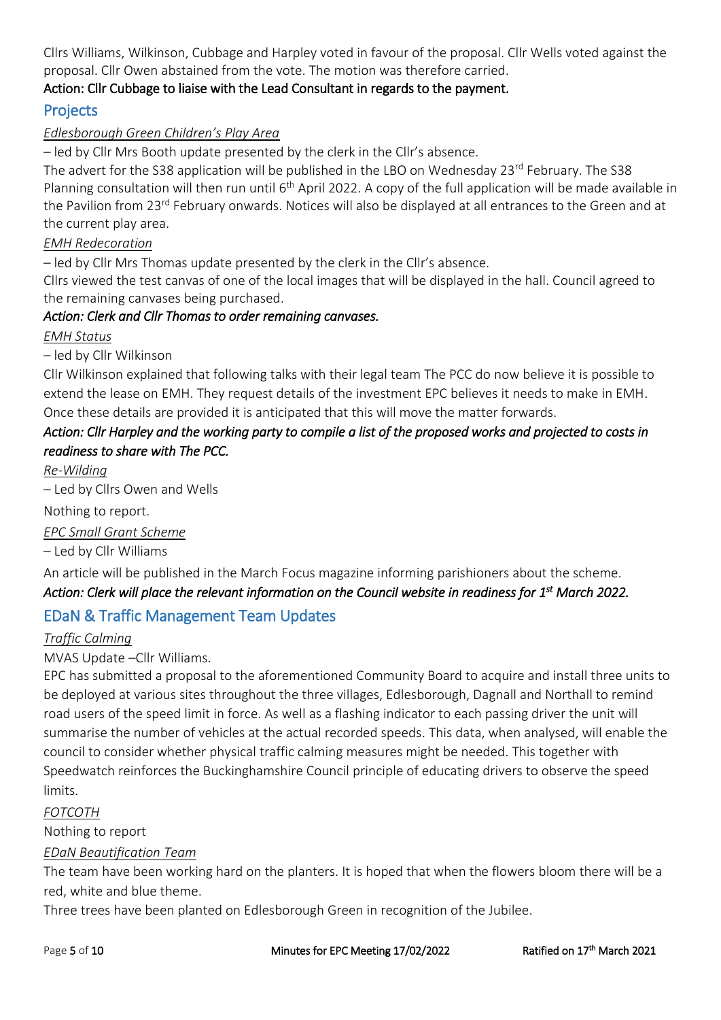Cllrs Williams, Wilkinson, Cubbage and Harpley voted in favour of the proposal. Cllr Wells voted against the proposal. Cllr Owen abstained from the vote. The motion was therefore carried.

### Action: Cllr Cubbage to liaise with the Lead Consultant in regards to the payment.

# Projects

### *Edlesborough Green Children's Play Area*

– led by Cllr Mrs Booth update presented by the clerk in the Cllr's absence.

The advert for the S38 application will be published in the LBO on Wednesday 23<sup>rd</sup> February. The S38 Planning consultation will then run until  $6<sup>th</sup>$  April 2022. A copy of the full application will be made available in the Pavilion from 23<sup>rd</sup> February onwards. Notices will also be displayed at all entrances to the Green and at the current play area.

### *EMH Redecoration*

– led by Cllr Mrs Thomas update presented by the clerk in the Cllr's absence.

Cllrs viewed the test canvas of one of the local images that will be displayed in the hall. Council agreed to the remaining canvases being purchased.

### *Action: Clerk and Cllr Thomas to order remaining canvases.*

#### *EMH Status*

– led by Cllr Wilkinson

Cllr Wilkinson explained that following talks with their legal team The PCC do now believe it is possible to extend the lease on EMH. They request details of the investment EPC believes it needs to make in EMH. Once these details are provided it is anticipated that this will move the matter forwards.

# *Action: Cllr Harpley and the working party to compile a list of the proposed works and projected to costs in readiness to share with The PCC.*

*Re-Wilding* 

– Led by Cllrs Owen and Wells

Nothing to report.

*EPC Small Grant Scheme*

– Led by Cllr Williams

An article will be published in the March Focus magazine informing parishioners about the scheme.

### *Action: Clerk will place the relevant information on the Council website in readiness for 1 st March 2022.*

# EDaN & Traffic Management Team Updates

#### *Traffic Calming*

MVAS Update –Cllr Williams.

EPC has submitted a proposal to the aforementioned Community Board to acquire and install three units to be deployed at various sites throughout the three villages, Edlesborough, Dagnall and Northall to remind road users of the speed limit in force. As well as a flashing indicator to each passing driver the unit will summarise the number of vehicles at the actual recorded speeds. This data, when analysed, will enable the council to consider whether physical traffic calming measures might be needed. This together with Speedwatch reinforces the Buckinghamshire Council principle of educating drivers to observe the speed limits.

### *FOTCOTH*

Nothing to report

### *EDaN Beautification Team*

The team have been working hard on the planters. It is hoped that when the flowers bloom there will be a red, white and blue theme.

Three trees have been planted on Edlesborough Green in recognition of the Jubilee.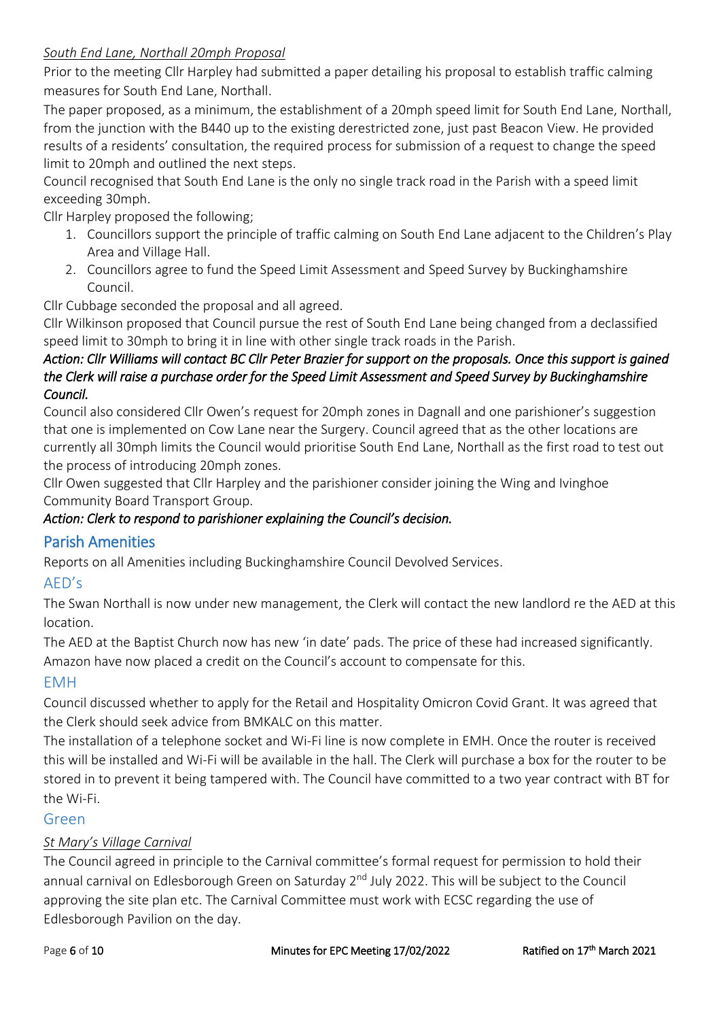### *South End Lane, Northall 20mph Proposal*

Prior to the meeting Cllr Harpley had submitted a paper detailing his proposal to establish traffic calming measures for South End Lane, Northall.

The paper proposed, as a minimum, the establishment of a 20mph speed limit for South End Lane, Northall, from the junction with the B440 up to the existing derestricted zone, just past Beacon View. He provided results of a residents' consultation, the required process for submission of a request to change the speed limit to 20mph and outlined the next steps.

Council recognised that South End Lane is the only no single track road in the Parish with a speed limit exceeding 30mph.

Cllr Harpley proposed the following;

- 1. Councillors support the principle of traffic calming on South End Lane adjacent to the Children's Play Area and Village Hall.
- 2. Councillors agree to fund the Speed Limit Assessment and Speed Survey by Buckinghamshire Council.

Cllr Cubbage seconded the proposal and all agreed.

Cllr Wilkinson proposed that Council pursue the rest of South End Lane being changed from a declassified speed limit to 30mph to bring it in line with other single track roads in the Parish.

### *Action: Cllr Williams will contact BC Cllr Peter Brazier for support on the proposals. Once this support is gained the Clerk will raise a purchase order for the Speed Limit Assessment and Speed Survey by Buckinghamshire Council.*

Council also considered Cllr Owen's request for 20mph zones in Dagnall and one parishioner's suggestion that one is implemented on Cow Lane near the Surgery. Council agreed that as the other locations are currently all 30mph limits the Council would prioritise South End Lane, Northall as the first road to test out the process of introducing 20mph zones.

Cllr Owen suggested that Cllr Harpley and the parishioner consider joining the Wing and Ivinghoe Community Board Transport Group.

### *Action: Clerk to respond to parishioner explaining the Council's decision.*

# Parish Amenities

Reports on all Amenities including Buckinghamshire Council Devolved Services.

### AED's

The Swan Northall is now under new management, the Clerk will contact the new landlord re the AED at this location.

The AED at the Baptist Church now has new 'in date' pads. The price of these had increased significantly. Amazon have now placed a credit on the Council's account to compensate for this.

### EMH

Council discussed whether to apply for the Retail and Hospitality Omicron Covid Grant. It was agreed that the Clerk should seek advice from BMKALC on this matter.

The installation of a telephone socket and Wi-Fi line is now complete in EMH. Once the router is received this will be installed and Wi-Fi will be available in the hall. The Clerk will purchase a box for the router to be stored in to prevent it being tampered with. The Council have committed to a two year contract with BT for the Wi-Fi.

#### Green

### *St Mary's Village Carnival*

The Council agreed in principle to the Carnival committee's formal request for permission to hold their annual carnival on Edlesborough Green on Saturday 2<sup>nd</sup> July 2022. This will be subject to the Council approving the site plan etc. The Carnival Committee must work with ECSC regarding the use of Edlesborough Pavilion on the day.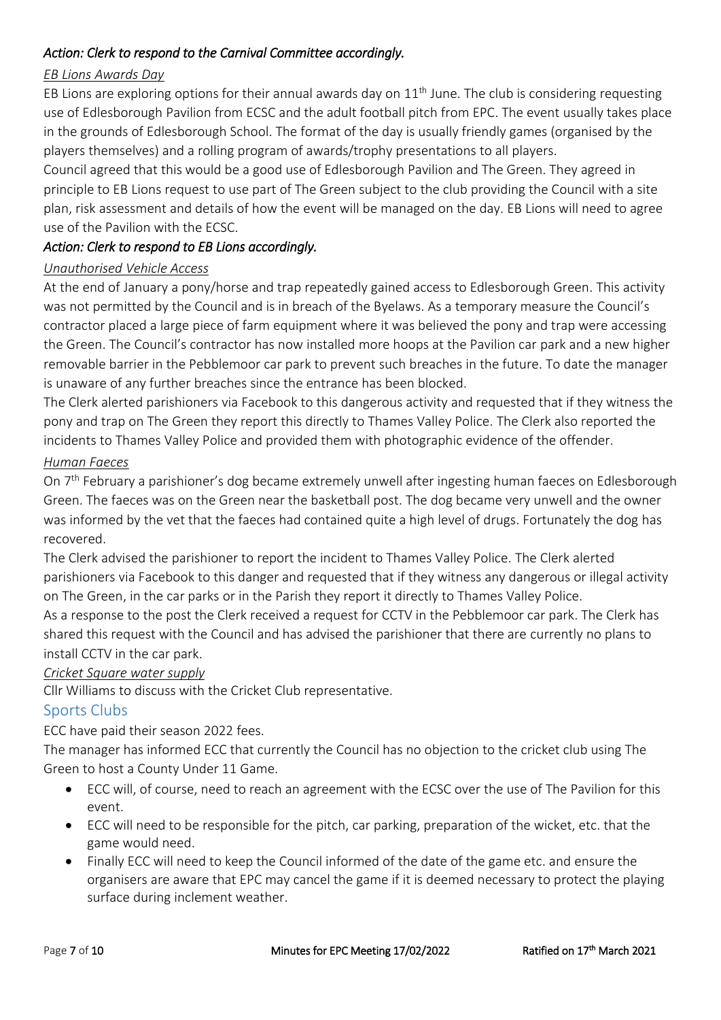### *Action: Clerk to respond to the Carnival Committee accordingly.*

#### *EB Lions Awards Day*

EB Lions are exploring options for their annual awards day on  $11<sup>th</sup>$  June. The club is considering requesting use of Edlesborough Pavilion from ECSC and the adult football pitch from EPC. The event usually takes place in the grounds of Edlesborough School. The format of the day is usually friendly games (organised by the players themselves) and a rolling program of awards/trophy presentations to all players.

Council agreed that this would be a good use of Edlesborough Pavilion and The Green. They agreed in principle to EB Lions request to use part of The Green subject to the club providing the Council with a site plan, risk assessment and details of how the event will be managed on the day. EB Lions will need to agree use of the Pavilion with the ECSC.

### *Action: Clerk to respond to EB Lions accordingly.*

#### *Unauthorised Vehicle Access*

At the end of January a pony/horse and trap repeatedly gained access to Edlesborough Green. This activity was not permitted by the Council and is in breach of the Byelaws. As a temporary measure the Council's contractor placed a large piece of farm equipment where it was believed the pony and trap were accessing the Green. The Council's contractor has now installed more hoops at the Pavilion car park and a new higher removable barrier in the Pebblemoor car park to prevent such breaches in the future. To date the manager is unaware of any further breaches since the entrance has been blocked.

The Clerk alerted parishioners via Facebook to this dangerous activity and requested that if they witness the pony and trap on The Green they report this directly to Thames Valley Police. The Clerk also reported the incidents to Thames Valley Police and provided them with photographic evidence of the offender.

#### *Human Faeces*

On 7<sup>th</sup> February a parishioner's dog became extremely unwell after ingesting human faeces on Edlesborough Green. The faeces was on the Green near the basketball post. The dog became very unwell and the owner was informed by the vet that the faeces had contained quite a high level of drugs. Fortunately the dog has recovered.

The Clerk advised the parishioner to report the incident to Thames Valley Police. The Clerk alerted parishioners via Facebook to this danger and requested that if they witness any dangerous or illegal activity on The Green, in the car parks or in the Parish they report it directly to Thames Valley Police.

As a response to the post the Clerk received a request for CCTV in the Pebblemoor car park. The Clerk has shared this request with the Council and has advised the parishioner that there are currently no plans to install CCTV in the car park.

#### *Cricket Square water supply*

Cllr Williams to discuss with the Cricket Club representative.

#### Sports Clubs

ECC have paid their season 2022 fees.

The manager has informed ECC that currently the Council has no objection to the cricket club using The Green to host a County Under 11 Game.

- ECC will, of course, need to reach an agreement with the ECSC over the use of The Pavilion for this event.
- ECC will need to be responsible for the pitch, car parking, preparation of the wicket, etc. that the game would need.
- Finally ECC will need to keep the Council informed of the date of the game etc. and ensure the organisers are aware that EPC may cancel the game if it is deemed necessary to protect the playing surface during inclement weather.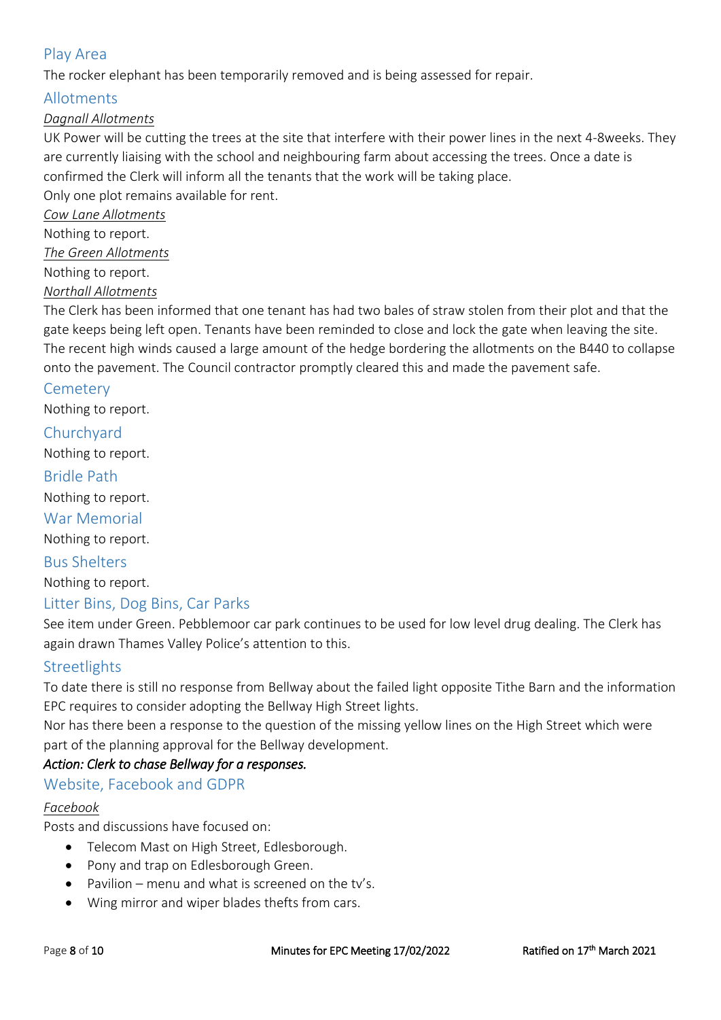# Play Area

The rocker elephant has been temporarily removed and is being assessed for repair.

### Allotments

### *Dagnall Allotments*

UK Power will be cutting the trees at the site that interfere with their power lines in the next 4-8weeks. They are currently liaising with the school and neighbouring farm about accessing the trees. Once a date is confirmed the Clerk will inform all the tenants that the work will be taking place.

Only one plot remains available for rent.

*Cow Lane Allotments* Nothing to report.

*The Green Allotments*

Nothing to report.

*Northall Allotments* 

The Clerk has been informed that one tenant has had two bales of straw stolen from their plot and that the gate keeps being left open. Tenants have been reminded to close and lock the gate when leaving the site. The recent high winds caused a large amount of the hedge bordering the allotments on the B440 to collapse onto the pavement. The Council contractor promptly cleared this and made the pavement safe.

### **Cemetery**

Nothing to report.

## **Churchvard**

Nothing to report.

### Bridle Path

Nothing to report.

War Memorial

Nothing to report.

Bus Shelters Nothing to report.

# Litter Bins, Dog Bins, Car Parks

See item under Green. Pebblemoor car park continues to be used for low level drug dealing. The Clerk has again drawn Thames Valley Police's attention to this.

### **Streetlights**

To date there is still no response from Bellway about the failed light opposite Tithe Barn and the information EPC requires to consider adopting the Bellway High Street lights.

Nor has there been a response to the question of the missing yellow lines on the High Street which were part of the planning approval for the Bellway development.

### *Action: Clerk to chase Bellway for a responses.*

### Website, Facebook and GDPR

#### *Facebook*

Posts and discussions have focused on:

- Telecom Mast on High Street, Edlesborough.
- Pony and trap on Edlesborough Green.
- Pavilion menu and what is screened on the tv's.
- Wing mirror and wiper blades thefts from cars.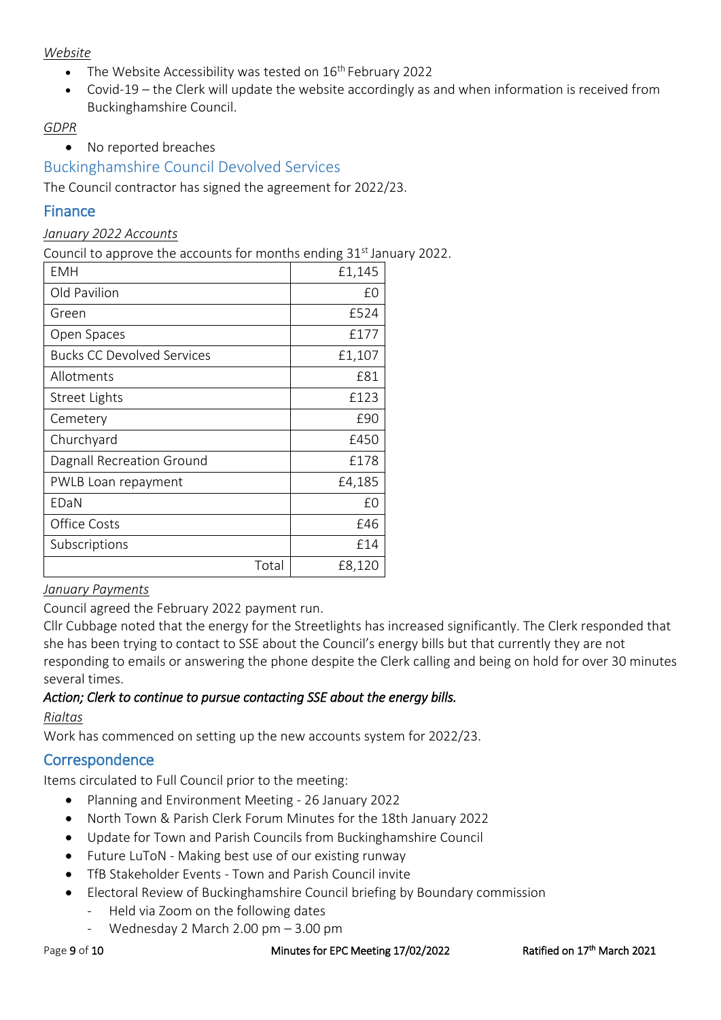#### *Website*

- The Website Accessibility was tested on  $16<sup>th</sup>$  February 2022
- Covid-19 the Clerk will update the website accordingly as and when information is received from Buckinghamshire Council.

### *GDPR*

• No reported breaches

### Buckinghamshire Council Devolved Services

The Council contractor has signed the agreement for 2022/23.

### Finance

#### *January 2022 Accounts*

Council to approve the accounts for months ending 31<sup>st</sup> January 2022.

| EMH                               | £1,145 |
|-----------------------------------|--------|
| Old Pavilion                      | £0     |
| Green                             | £524   |
| Open Spaces                       | £177   |
| <b>Bucks CC Devolved Services</b> | £1,107 |
| Allotments                        | £81    |
| Street Lights                     | £123   |
| Cemetery                          | £90    |
| Churchyard                        | £450   |
| Dagnall Recreation Ground         | £178   |
| PWLB Loan repayment               | £4,185 |
| EDaN                              | £0     |
| Office Costs                      | £46    |
| Subscriptions                     | £14    |
| Total                             | £8,120 |

#### *January Payments*

Council agreed the February 2022 payment run.

Cllr Cubbage noted that the energy for the Streetlights has increased significantly. The Clerk responded that she has been trying to contact to SSE about the Council's energy bills but that currently they are not responding to emails or answering the phone despite the Clerk calling and being on hold for over 30 minutes several times.

### *Action; Clerk to continue to pursue contacting SSE about the energy bills.*

#### *Rialtas*

Work has commenced on setting up the new accounts system for 2022/23.

## **Correspondence**

Items circulated to Full Council prior to the meeting:

- Planning and Environment Meeting 26 January 2022
- North Town & Parish Clerk Forum Minutes for the 18th January 2022
- Update for Town and Parish Councils from Buckinghamshire Council
- Future LuToN Making best use of our existing runway
- TfB Stakeholder Events Town and Parish Council invite
- Electoral Review of Buckinghamshire Council briefing by Boundary commission
	- Held via Zoom on the following dates
	- Wednesday 2 March 2.00 pm  $-$  3.00 pm